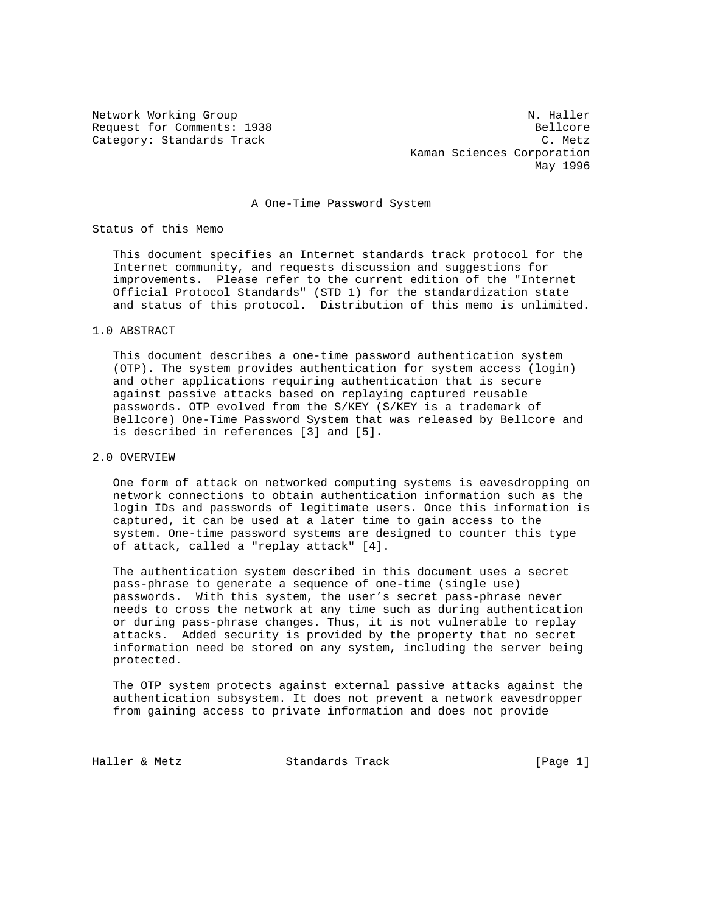Network Working Group N. Haller Request for Comments: 1938 Bellcore Category: Standards Track C. Metz Kaman Sciences Corporation May 1996

### A One-Time Password System

Status of this Memo

 This document specifies an Internet standards track protocol for the Internet community, and requests discussion and suggestions for improvements. Please refer to the current edition of the "Internet Official Protocol Standards" (STD 1) for the standardization state and status of this protocol. Distribution of this memo is unlimited.

### 1.0 ABSTRACT

 This document describes a one-time password authentication system (OTP). The system provides authentication for system access (login) and other applications requiring authentication that is secure against passive attacks based on replaying captured reusable passwords. OTP evolved from the S/KEY (S/KEY is a trademark of Bellcore) One-Time Password System that was released by Bellcore and is described in references [3] and [5].

# 2.0 OVERVIEW

 One form of attack on networked computing systems is eavesdropping on network connections to obtain authentication information such as the login IDs and passwords of legitimate users. Once this information is captured, it can be used at a later time to gain access to the system. One-time password systems are designed to counter this type of attack, called a "replay attack" [4].

 The authentication system described in this document uses a secret pass-phrase to generate a sequence of one-time (single use) passwords. With this system, the user's secret pass-phrase never needs to cross the network at any time such as during authentication or during pass-phrase changes. Thus, it is not vulnerable to replay attacks. Added security is provided by the property that no secret information need be stored on any system, including the server being protected.

 The OTP system protects against external passive attacks against the authentication subsystem. It does not prevent a network eavesdropper from gaining access to private information and does not provide

Haller & Metz Standards Track [Page 1]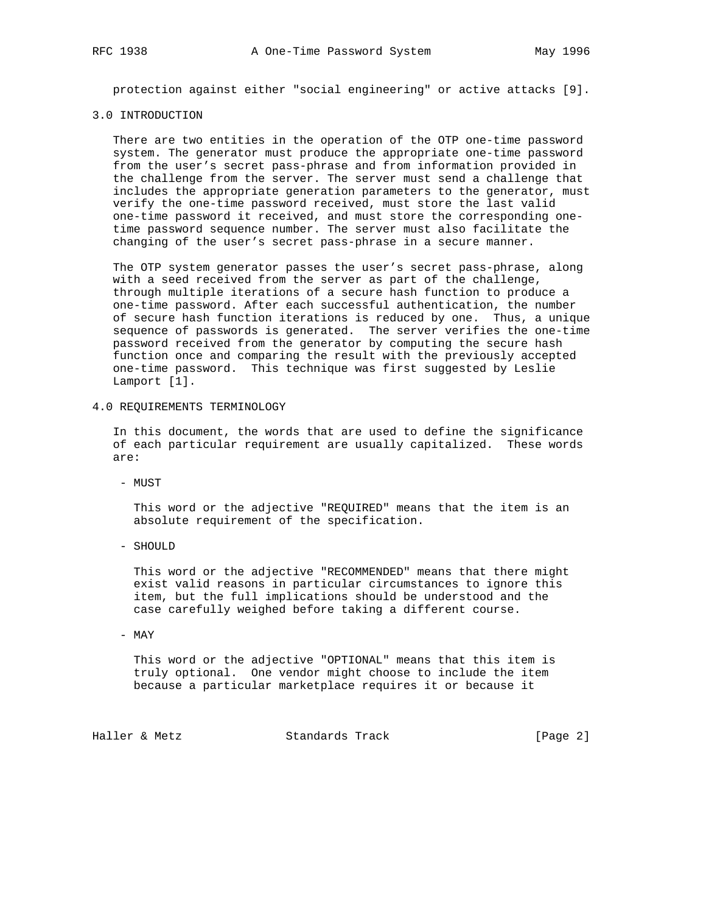protection against either "social engineering" or active attacks [9].

#### 3.0 INTRODUCTION

 There are two entities in the operation of the OTP one-time password system. The generator must produce the appropriate one-time password from the user's secret pass-phrase and from information provided in the challenge from the server. The server must send a challenge that includes the appropriate generation parameters to the generator, must verify the one-time password received, must store the last valid one-time password it received, and must store the corresponding one time password sequence number. The server must also facilitate the changing of the user's secret pass-phrase in a secure manner.

 The OTP system generator passes the user's secret pass-phrase, along with a seed received from the server as part of the challenge, through multiple iterations of a secure hash function to produce a one-time password. After each successful authentication, the number of secure hash function iterations is reduced by one. Thus, a unique sequence of passwords is generated. The server verifies the one-time password received from the generator by computing the secure hash function once and comparing the result with the previously accepted one-time password. This technique was first suggested by Leslie Lamport [1].

4.0 REQUIREMENTS TERMINOLOGY

 In this document, the words that are used to define the significance of each particular requirement are usually capitalized. These words are:

- MUST

 This word or the adjective "REQUIRED" means that the item is an absolute requirement of the specification.

- SHOULD

 This word or the adjective "RECOMMENDED" means that there might exist valid reasons in particular circumstances to ignore this item, but the full implications should be understood and the case carefully weighed before taking a different course.

- MAY

 This word or the adjective "OPTIONAL" means that this item is truly optional. One vendor might choose to include the item because a particular marketplace requires it or because it

Haller & Metz Standards Track [Page 2]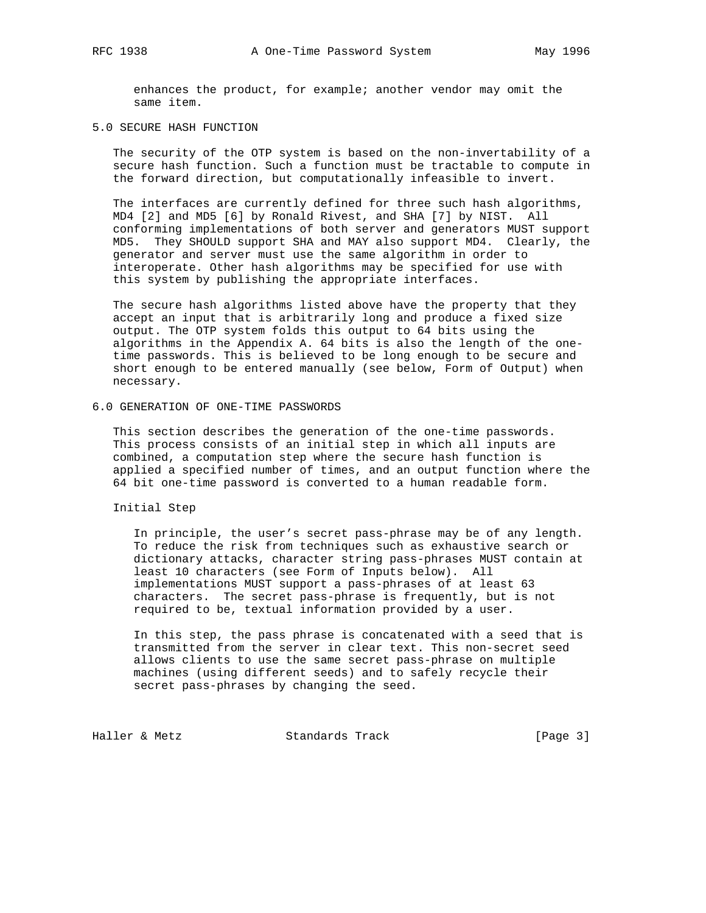enhances the product, for example; another vendor may omit the same item.

### 5.0 SECURE HASH FUNCTION

 The security of the OTP system is based on the non-invertability of a secure hash function. Such a function must be tractable to compute in the forward direction, but computationally infeasible to invert.

 The interfaces are currently defined for three such hash algorithms, MD4 [2] and MD5 [6] by Ronald Rivest, and SHA [7] by NIST. All conforming implementations of both server and generators MUST support MD5. They SHOULD support SHA and MAY also support MD4. Clearly, the generator and server must use the same algorithm in order to interoperate. Other hash algorithms may be specified for use with this system by publishing the appropriate interfaces.

 The secure hash algorithms listed above have the property that they accept an input that is arbitrarily long and produce a fixed size output. The OTP system folds this output to 64 bits using the algorithms in the Appendix A. 64 bits is also the length of the one time passwords. This is believed to be long enough to be secure and short enough to be entered manually (see below, Form of Output) when necessary.

#### 6.0 GENERATION OF ONE-TIME PASSWORDS

 This section describes the generation of the one-time passwords. This process consists of an initial step in which all inputs are combined, a computation step where the secure hash function is applied a specified number of times, and an output function where the 64 bit one-time password is converted to a human readable form.

Initial Step

 In principle, the user's secret pass-phrase may be of any length. To reduce the risk from techniques such as exhaustive search or dictionary attacks, character string pass-phrases MUST contain at least 10 characters (see Form of Inputs below). All implementations MUST support a pass-phrases of at least 63 characters. The secret pass-phrase is frequently, but is not required to be, textual information provided by a user.

 In this step, the pass phrase is concatenated with a seed that is transmitted from the server in clear text. This non-secret seed allows clients to use the same secret pass-phrase on multiple machines (using different seeds) and to safely recycle their secret pass-phrases by changing the seed.

Haller & Metz **Standards Track** [Page 3]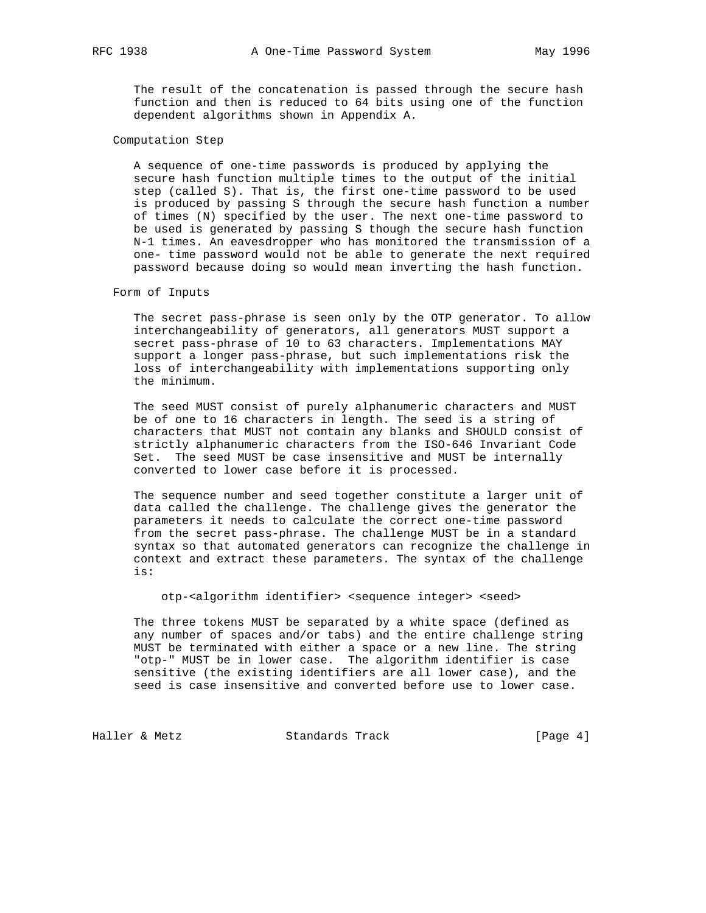The result of the concatenation is passed through the secure hash function and then is reduced to 64 bits using one of the function dependent algorithms shown in Appendix A.

### Computation Step

 A sequence of one-time passwords is produced by applying the secure hash function multiple times to the output of the initial step (called S). That is, the first one-time password to be used is produced by passing S through the secure hash function a number of times (N) specified by the user. The next one-time password to be used is generated by passing S though the secure hash function N-1 times. An eavesdropper who has monitored the transmission of a one- time password would not be able to generate the next required password because doing so would mean inverting the hash function.

### Form of Inputs

 The secret pass-phrase is seen only by the OTP generator. To allow interchangeability of generators, all generators MUST support a secret pass-phrase of 10 to 63 characters. Implementations MAY support a longer pass-phrase, but such implementations risk the loss of interchangeability with implementations supporting only the minimum.

 The seed MUST consist of purely alphanumeric characters and MUST be of one to 16 characters in length. The seed is a string of characters that MUST not contain any blanks and SHOULD consist of strictly alphanumeric characters from the ISO-646 Invariant Code Set. The seed MUST be case insensitive and MUST be internally converted to lower case before it is processed.

 The sequence number and seed together constitute a larger unit of data called the challenge. The challenge gives the generator the parameters it needs to calculate the correct one-time password from the secret pass-phrase. The challenge MUST be in a standard syntax so that automated generators can recognize the challenge in context and extract these parameters. The syntax of the challenge is:

otp-<algorithm identifier> <sequence integer> <seed>

 The three tokens MUST be separated by a white space (defined as any number of spaces and/or tabs) and the entire challenge string MUST be terminated with either a space or a new line. The string "otp-" MUST be in lower case. The algorithm identifier is case sensitive (the existing identifiers are all lower case), and the seed is case insensitive and converted before use to lower case.

Haller & Metz **Standards Track** [Page 4]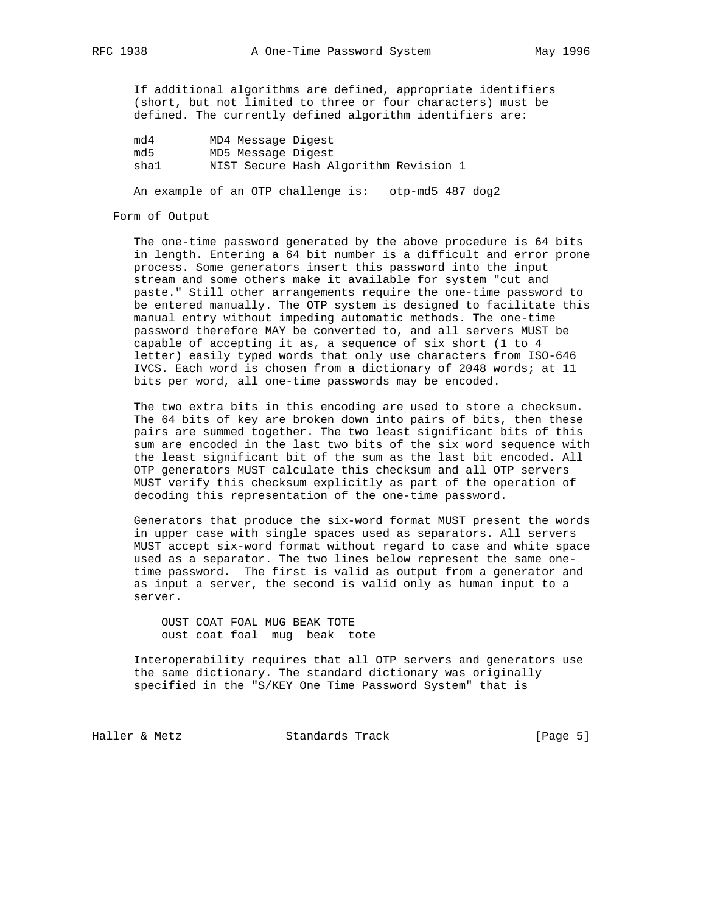If additional algorithms are defined, appropriate identifiers (short, but not limited to three or four characters) must be defined. The currently defined algorithm identifiers are:

| md4  | MD4 Message Digest |                                       |  |
|------|--------------------|---------------------------------------|--|
| md 5 | MD5 Message Digest |                                       |  |
| sha1 |                    | NIST Secure Hash Algorithm Revision 1 |  |

An example of an OTP challenge is: otp-md5 487 dog2

#### Form of Output

 The one-time password generated by the above procedure is 64 bits in length. Entering a 64 bit number is a difficult and error prone process. Some generators insert this password into the input stream and some others make it available for system "cut and paste." Still other arrangements require the one-time password to be entered manually. The OTP system is designed to facilitate this manual entry without impeding automatic methods. The one-time password therefore MAY be converted to, and all servers MUST be capable of accepting it as, a sequence of six short (1 to 4 letter) easily typed words that only use characters from ISO-646 IVCS. Each word is chosen from a dictionary of 2048 words; at 11 bits per word, all one-time passwords may be encoded.

 The two extra bits in this encoding are used to store a checksum. The 64 bits of key are broken down into pairs of bits, then these pairs are summed together. The two least significant bits of this sum are encoded in the last two bits of the six word sequence with the least significant bit of the sum as the last bit encoded. All OTP generators MUST calculate this checksum and all OTP servers MUST verify this checksum explicitly as part of the operation of decoding this representation of the one-time password.

 Generators that produce the six-word format MUST present the words in upper case with single spaces used as separators. All servers MUST accept six-word format without regard to case and white space used as a separator. The two lines below represent the same one time password. The first is valid as output from a generator and as input a server, the second is valid only as human input to a server.

 OUST COAT FOAL MUG BEAK TOTE oust coat foal mug beak tote

 Interoperability requires that all OTP servers and generators use the same dictionary. The standard dictionary was originally specified in the "S/KEY One Time Password System" that is

Haller & Metz **Standards Track** [Page 5]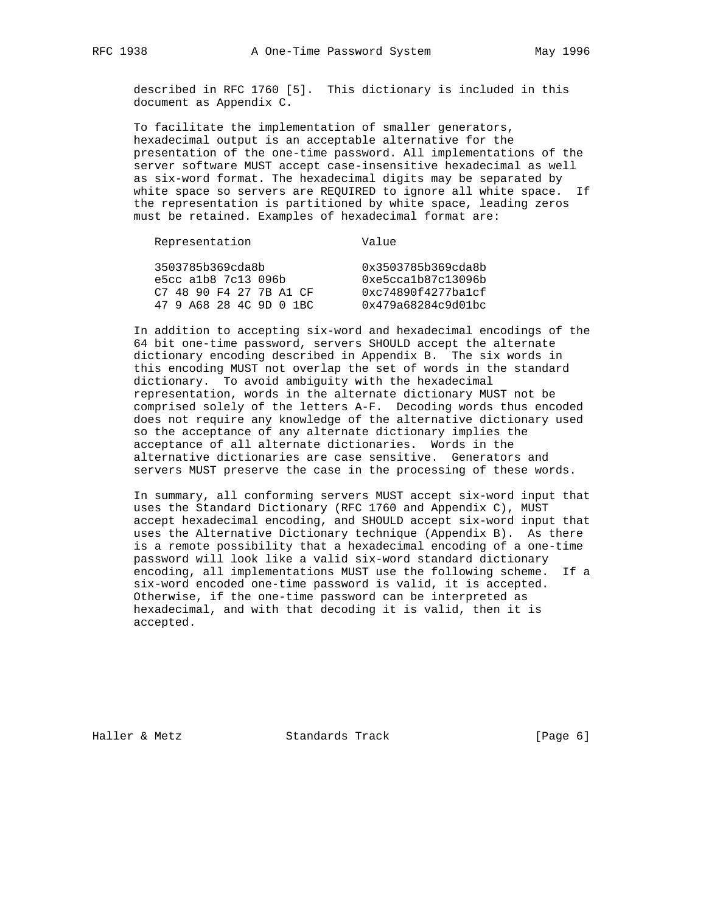described in RFC 1760 [5]. This dictionary is included in this document as Appendix C.

 To facilitate the implementation of smaller generators, hexadecimal output is an acceptable alternative for the presentation of the one-time password. All implementations of the server software MUST accept case-insensitive hexadecimal as well as six-word format. The hexadecimal digits may be separated by white space so servers are REQUIRED to ignore all white space. If the representation is partitioned by white space, leading zeros must be retained. Examples of hexadecimal format are:

| Representation          | Value              |  |  |
|-------------------------|--------------------|--|--|
| 3503785b369cda8b        | 0x3503785b369cda8b |  |  |
| $e5cc$ alb8 $7c13$ 096b | 0xe5cca1b87c13096b |  |  |
| C7 48 90 F4 27 7B A1 CF | 0xc74890f4277ba1cf |  |  |
| 47 9 A68 28 4C 9D 0 1BC | 0x479a68284c9d01bc |  |  |

 In addition to accepting six-word and hexadecimal encodings of the 64 bit one-time password, servers SHOULD accept the alternate dictionary encoding described in Appendix B. The six words in this encoding MUST not overlap the set of words in the standard dictionary. To avoid ambiguity with the hexadecimal representation, words in the alternate dictionary MUST not be comprised solely of the letters A-F. Decoding words thus encoded does not require any knowledge of the alternative dictionary used so the acceptance of any alternate dictionary implies the acceptance of all alternate dictionaries. Words in the alternative dictionaries are case sensitive. Generators and servers MUST preserve the case in the processing of these words.

 In summary, all conforming servers MUST accept six-word input that uses the Standard Dictionary (RFC 1760 and Appendix C), MUST accept hexadecimal encoding, and SHOULD accept six-word input that uses the Alternative Dictionary technique (Appendix B). As there is a remote possibility that a hexadecimal encoding of a one-time password will look like a valid six-word standard dictionary encoding, all implementations MUST use the following scheme. If a six-word encoded one-time password is valid, it is accepted. Otherwise, if the one-time password can be interpreted as hexadecimal, and with that decoding it is valid, then it is accepted.

Haller & Metz **Standards Track** [Page 6]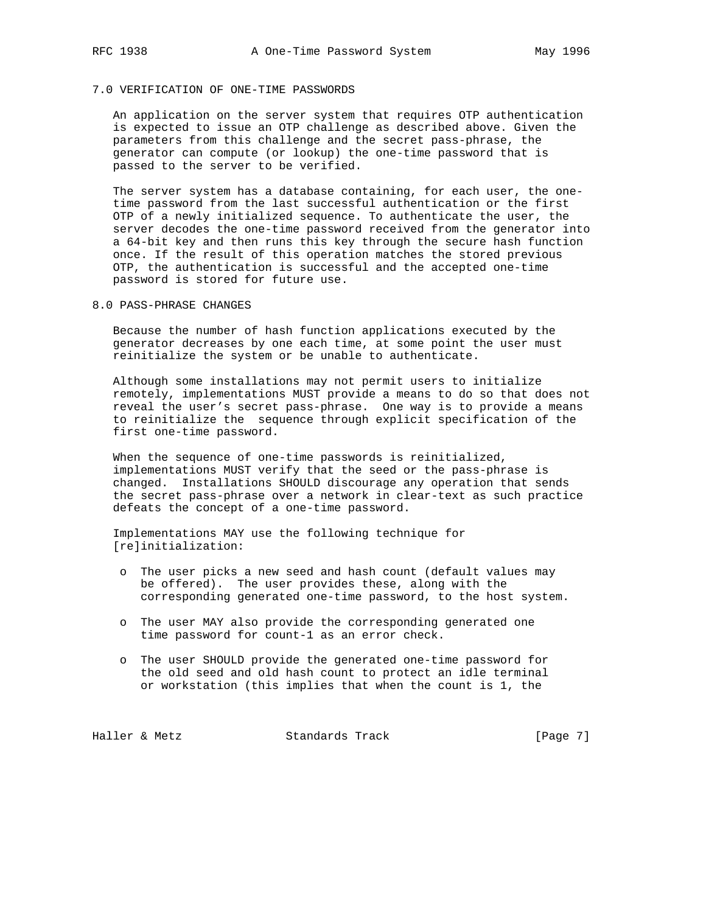### 7.0 VERIFICATION OF ONE-TIME PASSWORDS

 An application on the server system that requires OTP authentication is expected to issue an OTP challenge as described above. Given the parameters from this challenge and the secret pass-phrase, the generator can compute (or lookup) the one-time password that is passed to the server to be verified.

 The server system has a database containing, for each user, the one time password from the last successful authentication or the first OTP of a newly initialized sequence. To authenticate the user, the server decodes the one-time password received from the generator into a 64-bit key and then runs this key through the secure hash function once. If the result of this operation matches the stored previous OTP, the authentication is successful and the accepted one-time password is stored for future use.

8.0 PASS-PHRASE CHANGES

 Because the number of hash function applications executed by the generator decreases by one each time, at some point the user must reinitialize the system or be unable to authenticate.

 Although some installations may not permit users to initialize remotely, implementations MUST provide a means to do so that does not reveal the user's secret pass-phrase. One way is to provide a means to reinitialize the sequence through explicit specification of the first one-time password.

When the sequence of one-time passwords is reinitialized, implementations MUST verify that the seed or the pass-phrase is changed. Installations SHOULD discourage any operation that sends the secret pass-phrase over a network in clear-text as such practice defeats the concept of a one-time password.

 Implementations MAY use the following technique for [re]initialization:

- o The user picks a new seed and hash count (default values may be offered). The user provides these, along with the corresponding generated one-time password, to the host system.
- o The user MAY also provide the corresponding generated one time password for count-1 as an error check.
- o The user SHOULD provide the generated one-time password for the old seed and old hash count to protect an idle terminal or workstation (this implies that when the count is 1, the

Haller & Metz **Standards Track** [Page 7]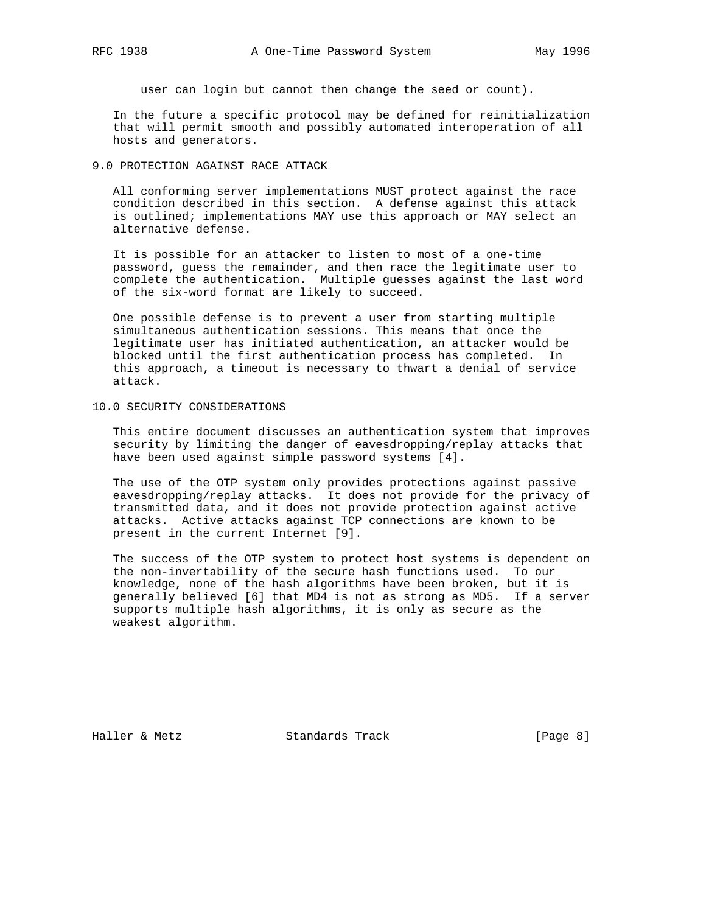user can login but cannot then change the seed or count).

 In the future a specific protocol may be defined for reinitialization that will permit smooth and possibly automated interoperation of all hosts and generators.

# 9.0 PROTECTION AGAINST RACE ATTACK

 All conforming server implementations MUST protect against the race condition described in this section. A defense against this attack is outlined; implementations MAY use this approach or MAY select an alternative defense.

 It is possible for an attacker to listen to most of a one-time password, guess the remainder, and then race the legitimate user to complete the authentication. Multiple guesses against the last word of the six-word format are likely to succeed.

 One possible defense is to prevent a user from starting multiple simultaneous authentication sessions. This means that once the legitimate user has initiated authentication, an attacker would be blocked until the first authentication process has completed. In this approach, a timeout is necessary to thwart a denial of service attack.

10.0 SECURITY CONSIDERATIONS

 This entire document discusses an authentication system that improves security by limiting the danger of eavesdropping/replay attacks that have been used against simple password systems [4].

 The use of the OTP system only provides protections against passive eavesdropping/replay attacks. It does not provide for the privacy of transmitted data, and it does not provide protection against active attacks. Active attacks against TCP connections are known to be present in the current Internet [9].

 The success of the OTP system to protect host systems is dependent on the non-invertability of the secure hash functions used. To our knowledge, none of the hash algorithms have been broken, but it is generally believed [6] that MD4 is not as strong as MD5. If a server supports multiple hash algorithms, it is only as secure as the weakest algorithm.

Haller & Metz **Standards Track** [Page 8]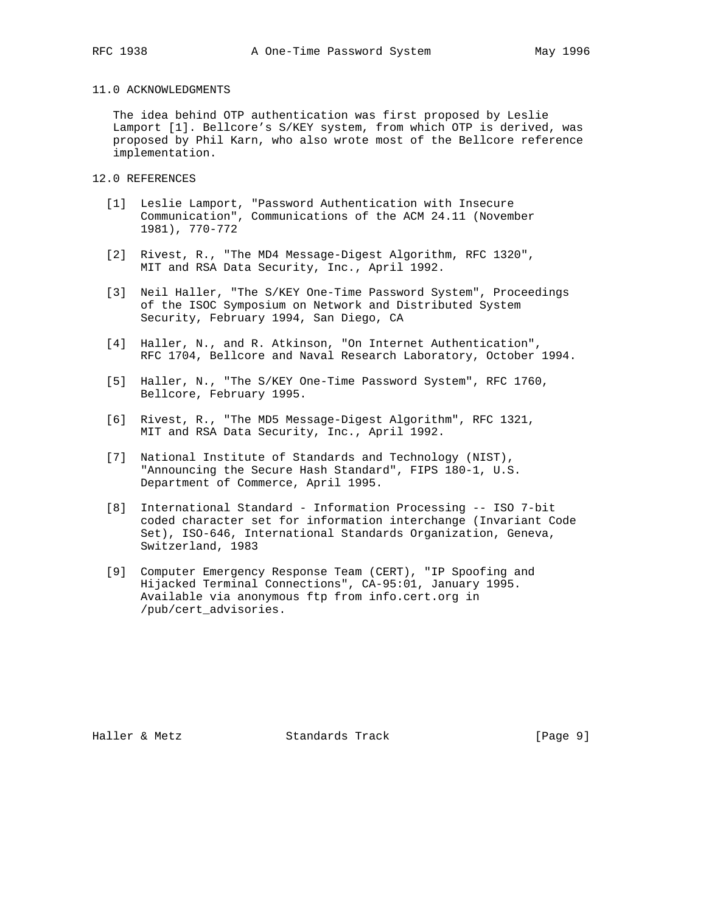# 11.0 ACKNOWLEDGMENTS

 The idea behind OTP authentication was first proposed by Leslie Lamport [1]. Bellcore's S/KEY system, from which OTP is derived, was proposed by Phil Karn, who also wrote most of the Bellcore reference implementation.

- 12.0 REFERENCES
	- [1] Leslie Lamport, "Password Authentication with Insecure Communication", Communications of the ACM 24.11 (November 1981), 770-772
	- [2] Rivest, R., "The MD4 Message-Digest Algorithm, RFC 1320", MIT and RSA Data Security, Inc., April 1992.
	- [3] Neil Haller, "The S/KEY One-Time Password System", Proceedings of the ISOC Symposium on Network and Distributed System Security, February 1994, San Diego, CA
	- [4] Haller, N., and R. Atkinson, "On Internet Authentication", RFC 1704, Bellcore and Naval Research Laboratory, October 1994.
	- [5] Haller, N., "The S/KEY One-Time Password System", RFC 1760, Bellcore, February 1995.
	- [6] Rivest, R., "The MD5 Message-Digest Algorithm", RFC 1321, MIT and RSA Data Security, Inc., April 1992.
	- [7] National Institute of Standards and Technology (NIST), "Announcing the Secure Hash Standard", FIPS 180-1, U.S. Department of Commerce, April 1995.
	- [8] International Standard Information Processing -- ISO 7-bit coded character set for information interchange (Invariant Code Set), ISO-646, International Standards Organization, Geneva, Switzerland, 1983
- [9] Computer Emergency Response Team (CERT), "IP Spoofing and Hijacked Terminal Connections", CA-95:01, January 1995. Available via anonymous ftp from info.cert.org in /pub/cert\_advisories.

Haller & Metz **Standards Track** [Page 9]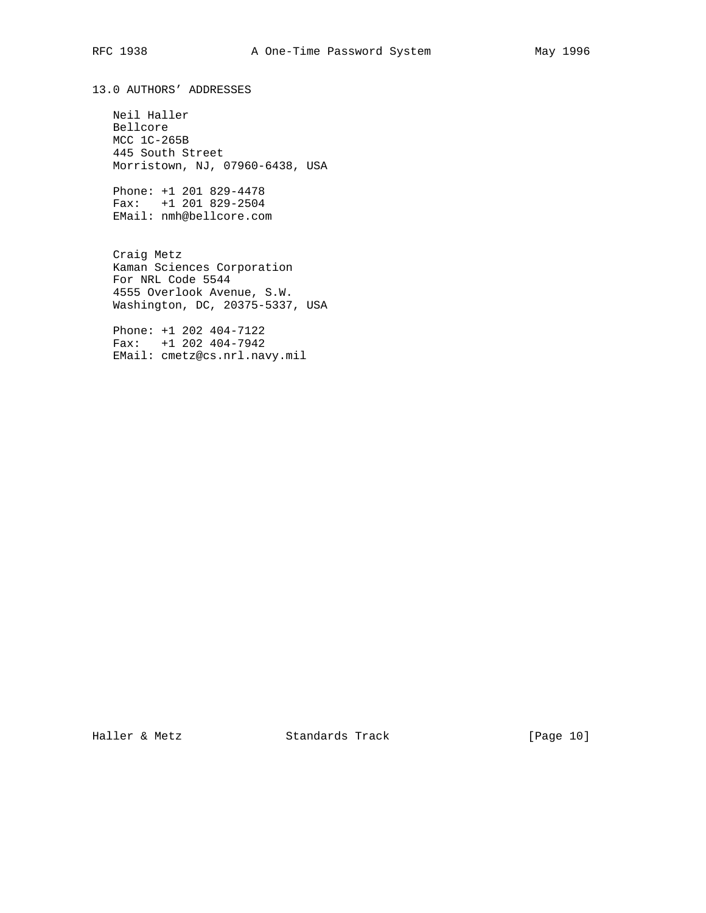13.0 AUTHORS' ADDRESSES

 Neil Haller Bellcore MCC 1C-265B 445 South Street Morristown, NJ, 07960-6438, USA

 Phone: +1 201 829-4478 Fax: +1 201 829-2504 EMail: nmh@bellcore.com

 Craig Metz Kaman Sciences Corporation For NRL Code 5544 4555 Overlook Avenue, S.W. Washington, DC, 20375-5337, USA

 Phone: +1 202 404-7122 Fax: +1 202 404-7942 EMail: cmetz@cs.nrl.navy.mil

Haller & Metz **Standards Track** [Page 10]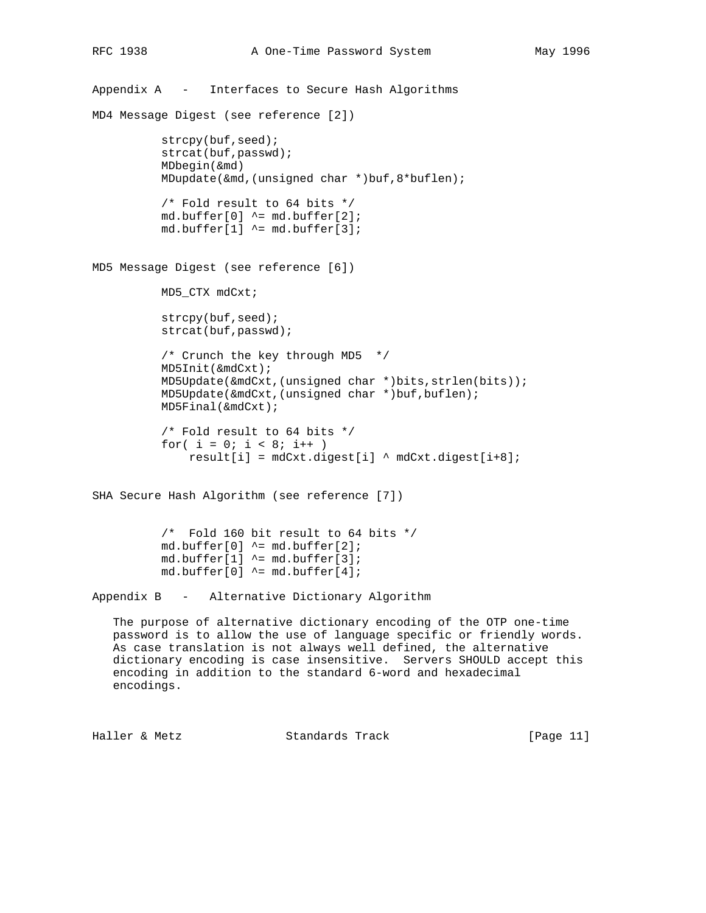```
Appendix A - Interfaces to Secure Hash Algorithms
MD4 Message Digest (see reference [2])
          strcpy(buf, seed);
           strcat(buf,passwd);
           MDbegin(&md)
           MDupdate(&md,(unsigned char *)buf,8*buflen);
           /* Fold result to 64 bits */
          md.buffer[0] ^= md.buffer[2];
          md.buffer[1] ^= md.buffer[3];
MD5 Message Digest (see reference [6])
           MD5_CTX mdCxt;
          strcpy(buf, seed);
           strcat(buf,passwd);
           /* Crunch the key through MD5 */
           MD5Init(&mdCxt);
           MD5Update(&mdCxt,(unsigned char *)bits,strlen(bits));
          MD5Update(&mdCxt,(unsigned char *)buf,buflen);
           MD5Final(&mdCxt);
           /* Fold result to 64 bits */
          for( i = 0; i < 8; i++ )
               result[i] = mdCxt.digest[i] ^ mdCxt.digest[i+8];
SHA Secure Hash Algorithm (see reference [7])
           /* Fold 160 bit result to 64 bits */
          md.buffer[0] ^= md.buffer[2];
          md.buffer[1] ^= md.buffer[3];
           md.buffer[0] ^= md.buffer[4];
Appendix B - Alternative Dictionary Algorithm
```
 The purpose of alternative dictionary encoding of the OTP one-time password is to allow the use of language specific or friendly words. As case translation is not always well defined, the alternative dictionary encoding is case insensitive. Servers SHOULD accept this encoding in addition to the standard 6-word and hexadecimal encodings.

Haller & Metz **Standards Track** [Page 11]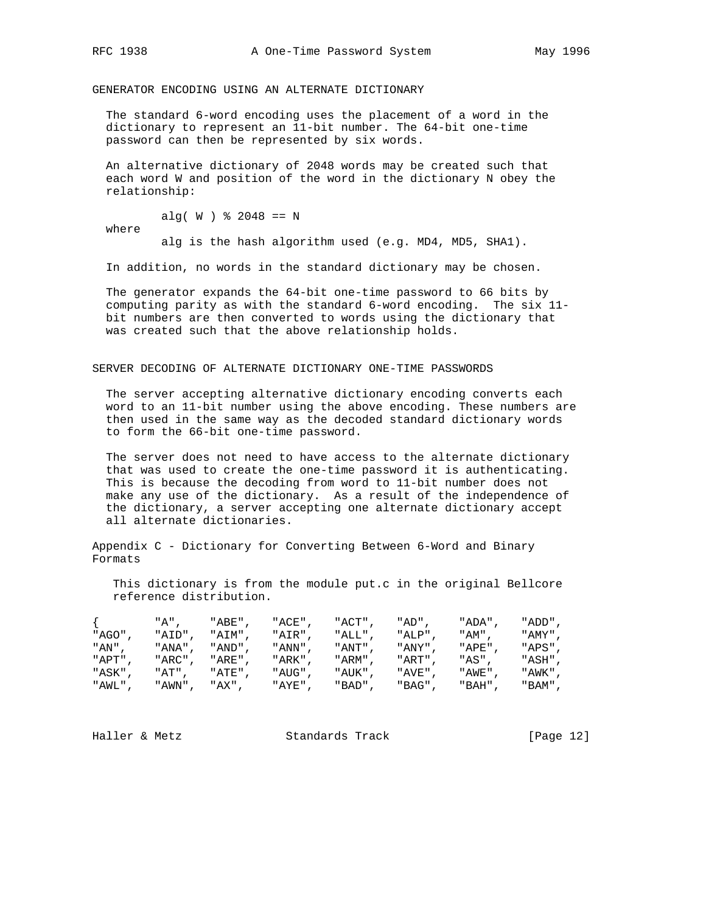GENERATOR ENCODING USING AN ALTERNATE DICTIONARY

 The standard 6-word encoding uses the placement of a word in the dictionary to represent an 11-bit number. The 64-bit one-time password can then be represented by six words.

 An alternative dictionary of 2048 words may be created such that each word W and position of the word in the dictionary N obey the relationship:

alg(  $W$  )  $\text{\$}$  2048 == N

where

alg is the hash algorithm used (e.g. MD4, MD5, SHA1).

In addition, no words in the standard dictionary may be chosen.

 The generator expands the 64-bit one-time password to 66 bits by computing parity as with the standard 6-word encoding. The six 11 bit numbers are then converted to words using the dictionary that was created such that the above relationship holds.

SERVER DECODING OF ALTERNATE DICTIONARY ONE-TIME PASSWORDS

 The server accepting alternative dictionary encoding converts each word to an 11-bit number using the above encoding. These numbers are then used in the same way as the decoded standard dictionary words to form the 66-bit one-time password.

 The server does not need to have access to the alternate dictionary that was used to create the one-time password it is authenticating. This is because the decoding from word to 11-bit number does not make any use of the dictionary. As a result of the independence of the dictionary, a server accepting one alternate dictionary accept all alternate dictionaries.

Appendix C - Dictionary for Converting Between 6-Word and Binary Formats

 This dictionary is from the module put.c in the original Bellcore reference distribution.

|        | "A".         | "ABE",  | "ACE",  | "ACT",  | "AD",  | " ADA " | "ADD", |
|--------|--------------|---------|---------|---------|--------|---------|--------|
| "AGO"  | "AID",       | "AIM",  | "AIR".  | "ALL",  | "ALP"  | "AM",   | "AMY", |
| "AN".  | "ANA",       | " AND " | " ANN " | "ANT" . | "ANY". | "APE"   | "APS", |
| "APT". | "ARC",       | "ARE" . | "ARK" , | "ARM" . | "ART". | "AS",   | "ASH", |
| "ASK". | "AT".        | "ATE"   | "AUG"   | "AUK".  | "AVE"  | "AWE"   | "AWK", |
| "AWL". | "AWN", "AX", |         | "AYE",  | "BAD",  | "BAG", | "BAH",  | "BAM", |

Haller & Metz **Standards Track** [Page 12]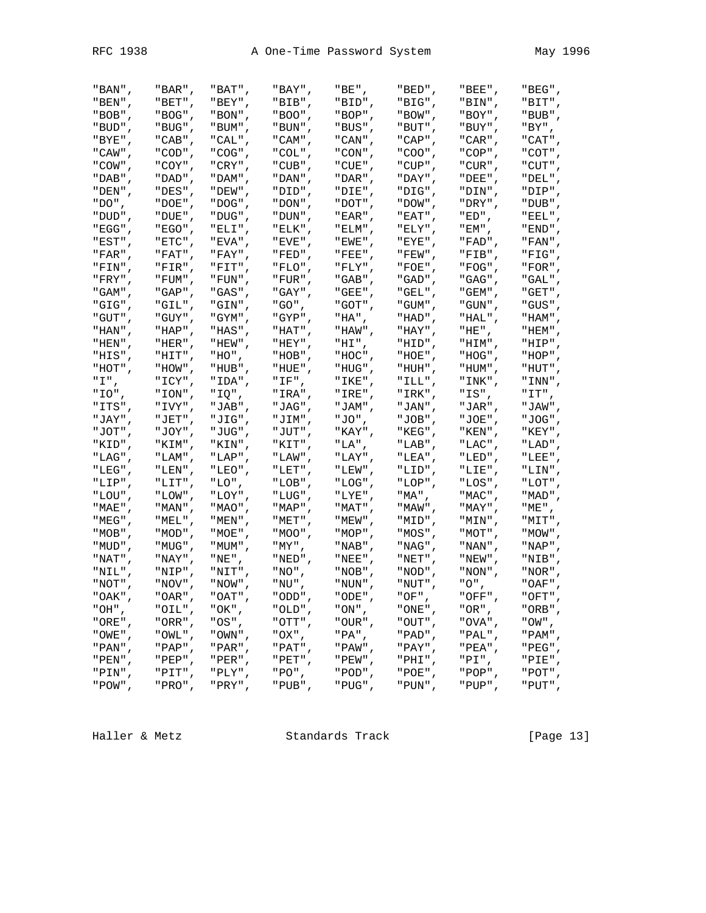| "BAN",        | $"BAR"$ , | "BAT",       | "BAY",    | "BE",     | "BED",  | "BEE",    | "BEG",      |
|---------------|-----------|--------------|-----------|-----------|---------|-----------|-------------|
| $"BEN"$ ,     | "BET",    | "BEY",       | "BIB",    | "BID",    | "BIG",  | "BIN",    | "BIT",      |
| "BOB",        | "BOG"     | " BON "      | " BOO "   | "BOP"     | " BOW " | "BOY"     | "BUB",      |
| "BUD",        | "BUG",    | "BUM",       | " BUN " 」 | " BUS "   | " BUT " | "BUY",    | "BY",       |
| "BYE",        | "CAB",    | "CAL",       | "CAM",    | "CAN",    | "CAP",  | "CAR",    | "CAT",      |
| "CAW",        | "COD",    | "COG",       | "COL",    | "CON",    | "COO",  | "COP",    | "COT",      |
| "COW",        | "COY",    | "CRY",       | "CUB",    | "CUE",    | "CUP",  | "CUR",    | "CUT",      |
| " $DAB"$ ,    | "DAD",    | "DAM",       | "DAN",    | , "DAR" " | "DAY",  | "DEE",    | "DEL",      |
| "DEN",        | "DES".    | " DEW "      | "DID"     | "DIE"     | "DIG"   | "DIN"     | "DIP",      |
| $"DO"$ ,      | "DOE",    | , "DOG" "    | " DON "   | " DOT "   | " DOW " | "DRY",    | "DUB",      |
| "DUD",        | "DUE",    | "DUG",       | , "DUN" " | "EAR",    | "EAT",  | "ED",     | "EEL",      |
| "EGG",        | " EGO " , | "ELI",       | "ELK",    | "ELM",    | "ELY",  | "EM",     | "END",      |
| "EST",        | "ETC",    | "EVA",       | "EVE",    | "EWE",    | "EYE",  | "FAD",    | "FAN",      |
| "FAR",        | "FAT",    | "FAY",       | "FED",    | "FEE",    | "FEW",  | "F'IB",   | "FIG",      |
| "FIN"         | "FIR"     | "FIT"        | " FLO "   | "FLY"     | " FOE " | " FOG "   | , "FOR" "   |
| "FRY",        | "FUM",    | "FUN",       | "FUR",    | " GAB "   | " GAD " | "GAG",    | "GAL",      |
| "GAM",        | "GAP",    | "GAS",       | "GAY",    | "GEE",    | "GEL",  | "GEM",    | "GET",      |
| "GIG",        | "GIL",    | "GIN",       | "GO",     | "GOT",    | "GUM",  | "GUN",    | "GUS",      |
| "GUT",        | "GUY",    | "GYM",       | "GYP",    | "HA",     | "HAD",  | "HAL",    | "HAM",      |
| "HAN",        | "HAP",    | "HAS",       | "HAT",    | "HAW",    | "HAY",  | "HE",     | "HEM",      |
| "HEN",        | "HER",    | "HEW",       | "HEY"     | "HI",     | "HID"   | , "HIM" " | "HIP",      |
| "HIS",        | "HIT",    | $"$ HO $"$ , | "HOB",    | "HOC"     | "HOE",  | "HOG",    | "HOP",      |
| "HOT",        | "HOW",    | "HUB",       | "HUE",    | "HUG",    | "HUH",  | "HUM",    | "HUT",      |
| "I".          | " ICY" ,  | "IDA",       | "IF",     | "IKE",    | "ILL",  | "INK",    | "INN",      |
| "IO",         | "ION",    | "IQ",        | "IRA",    | "IRE",    | "IRK",  | "IS",     | "IT",       |
| "ITS",        | "IVY",    | "JAB",       | "JAG",    | "JAM",    | "JAN",  | "JAR",    | "JAW",      |
| "JAY"         | "JET"     | "JIG"        | "JIM"     | "JO",     | "JOB"   | "JOE"     | , "JOG" "   |
| "JOT",        | "JOY",    | "JUG",       | "JUT",    | "KAY",    | "KEG",  | "KEN",    | "KEY",      |
| "KID",        | "KIM",    | "KIN",       | "KIT",    | "LA",     | "LAB",  | "LAC",    | "LAD",      |
| "LAG",        | "LAM",    | "LAP",       | "LAW",    | "LAY",    | "LEA",  | "LED",    | "LEE",      |
| "LEG",        | "LEN",    | "LEO",       | "LET",    | "LEW",    | "LID",  | "LIE",    | "LIN",      |
| "LIP",        | "LIT",    | "LO",        | " LOB" ,  | "LOG",    | "LOP",  | "LOS",    | "LOT",      |
| " LOU "       | " LOW "   | "LOY"        | " LUG "   | "LYE"     | "MA",   | " MAC "   | "MAD",      |
| "MAE",        | "MAN",    | " MAO "      | " MAP "   | " MAT "   | " MAW " | " MAY "   | "ME",       |
| $"MEG"$ ,     | "MEL",    | "MEN",       | "MET",    | "MEW",    | "MID",  | "MIN",    | "MIT",      |
| "MOB",        | "MOD",    | "MOE",       | "MOO",    | "MOP",    | "MOS",  | "MOT",    | , "MOW" "   |
| "MUD",        | "MUG",    | "MUM",       | "MY",     | "NAB",    | "NAG",  | "NAN",    | "NAP",      |
| "NAT",        | " NAY " , | "NE",        | "NED",    | "NEE",    | "NET",  | "NEW",    | "NIB",      |
| "NIL"         | "NIP"     | "NIT"        | " NO " ,  | " NOB "   | " NOD " | " NON "   | , "NOR" "   |
| " NOT "       | " NOV "   | "NOW",       | "NU",     | , "NUN" " | " NUT " | "O",      | "OAF",      |
| " OAK "       | " OAR "   | " OAT "      | " ODD "   | " ODE "   | " OF "  | "OFF"     | "OFT"       |
| " $OH"$ ,     | "OIL",    | "OK",        | "OLD",    | "ON",     | "ONE",  | "OR",     | "ORB",      |
| " $ORE"$ ,    | "ORR",    | "OS",        | "OTT",    | "OUR",    | "OUT",  | "OVA",    | "OW",       |
| "OWE",        | "OWL",    | "OWN",       | "OX",     | "PA",     | "PAD",  | "PAL",    | "PAM",      |
| "PAN",        | "PAP",    | " PAR "      | "PAT",    | "PAW",    | " PAY " | "PEA",    | "PEG",      |
| "PEN",        | "PEP",    | "PER",       | "PET",    | "PEW",    | "PHI",  | "PI",     | "PIE",      |
| "PIN",        | "PIT",    | "PLY",       | "PO",     | "POD",    | "POE",  | "POP",    | "POT",      |
| $"$ POW $"$ , | " PRO" ,  | "PRY",       | "PUB",    | "PUG",    | "PUN",  | "PUP",    | "PUT", $\;$ |

Haller & Metz **Standards Track** [Page 13]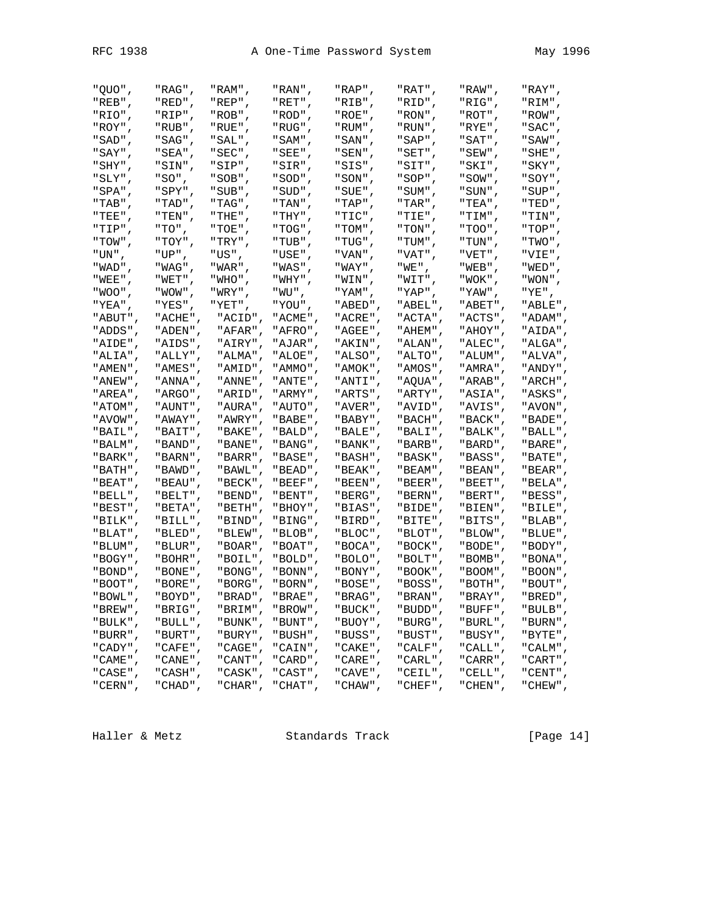Haller & Metz **Standards Track** [Page 14]

| " OUO" ,   | "RAG",  | "RAM",    | "RAN",    | "RAP",    | "RAT",  | "RAW",     | "RAY",     |
|------------|---------|-----------|-----------|-----------|---------|------------|------------|
| "REB",     | "RED",  | "REP",    | "RET",    | "RIB",    | "RID",  | "RIG",     | "RIM",     |
| "RIO",     | "RIP",  | $"ROB"$ , | "ROD",    | $"ROE"$ , | "RON",  | "ROT",     | "ROW",     |
| "ROY",     | "RUB",  | "RUE",    | "RUG",    | "RUM",    | "RUN",  | "RYE",     | "SAC",     |
| "SAD",     | "SAG",  | "SAL",    | " SAM" ,  | "SAN",    | "SAP",  | " SAT "    | "SAW",     |
| "SAY",     | "SEA",  | "SEC",    | "SEE",    | "SEN",    | "SET",  | "SEW",     | "SHE",     |
| "SHY",     | "SIN",  | "SIP",    | "SIR",    | "SIS",    | "SIT",  | "SKI",     | "SKY",     |
| "SLY",     | "SO",   | "SOB",    | "SOD",    | "SON",    | "SOP",  | "SOW",     | "SOY",     |
| "SPA",     | "SPY",  | "SUB",    | "SUD",    | "SUE",    | "SUM",  | "SUN",     | "SUP",     |
| "TAB",     | "TAD",  | "TAG",    | "TAN",    | "TAP",    | "TAR",  | "TEA",     | "TED",     |
| "TEE",     | "TEN",  | " THE " , | " THY " , | "TIC",    | "TIE",  | "TIM",     | "TIN",     |
| "TIP",     | "TO",   | "TOE",    | "TOG",    | "TOM",    | "TON",  | " TOO" ,   | "TOP",     |
| "TOW",     |         |           |           |           |         |            |            |
|            | "TOY",  | "TRY",    | "TUB",    | "TUG",    | "TUM",  | "TUN",     | "TWO",     |
| "UN",      | "UP",   | "US",     | "USE",    | "VAN",    | "VAT",  | "VET",     | "VIE",     |
| "WAD",     | "WAG",  | "WAR",    | "WAS",    | "WAY",    | "WE",   | "WEB",     | "WED",     |
| "WEE",     | "WET",  | "WHO",    | "WHY",    | "WIN",    | "WIT",  | "WOK",     | "WON",     |
| "WOO",     | "WOW",  | "WRY",    | " WU " ,  | "YAM",    | "YAP",  | " YAW" ,   | "YE",      |
| "YEA",     | "YES",  | "YET",    | "YOU",    | "ABED",   | "ABEL", | "ABET",    | "ABLE",    |
| "ABUT",    | "ACHE", | "ACID",   | "ACME",   | "ACRE",   | "ACTA", | "ACTS",    | , "ADAM" " |
| "ADDS",    | "ADEN", | "AFAR",   | "AFRO",   | "AGEE",   | "AHEM", | "AHOY",    | "AIDA",    |
| "AIDE",    | "AIDS", | "AIRY",   | "AJAR",   | "AKIN",   | "ALAN", | "ALEC",    | "ALGA",    |
| "ALIA",    | "ALLY", | "ALMA",   | "ALOE",   | "ALSO",   | "ALTO", | "ALUM",    | "ALVA",    |
| "AMEN",    | "AMES", | "AMID",   | " AMMO" , | "AMOK",   | "AMOS", | , "AMRA" " | "ANDY",    |
| "ANEW",    | "ANNA", | "ANNE",   | "ANTE",   | "ANTI",   | "AQUA", | "ARAB",    | "ARCH",    |
| "AREA",    | "ARGO", | "ARID",   | "ARMY",   | "ARTS",   | "ARTY", | "ASIA",    | "ASKS",    |
| "ATOM",    | "AUNT", | "AURA",   | "AUTO",   | "AVER",   | "AVID", | "AVIS",    | "AVON",    |
| "AVOW",    | "AWAY", | "AWRY",   | "BABE",   | "BABY",   | "BACH", | "BACK",    | "BADE",    |
| "BAIL",    | "BAIT", | "BAKE",   | "BALD",   | "BALE",   | "BALI", | "BALK",    | "BALL",    |
| "BALM",    | "BAND", | "BANE",   | "BANG",   | "BANK",   | "BARB", | , "BARD" " | "BARE",    |
| "BARK",    | "BARN", | "BARR",   | "BASE",   | "BASH",   | "BASK", | "BASS",    | "BATE",    |
| "BATH",    | "BAWD", | "BAWL",   | "BEAD",   | "BEAK",   | "BEAM", | "BEAN",    | "BEAR",    |
| "BEAT",    | "BEAU", | "BECK",   | "BEEF",   | "BEEN",   | "BEER", | "BEET",    | "BELA",    |
| "BELL",    | "BELT", | "BEND",   | "BENT",   | "BERG",   | "BERN", | "BERT",    | "BESS",    |
| "BEST",    | "BETA", | "BETH",   | "BHOY",   | "BIAS",   | "BIDE", | "BIEN",    | "B1LE",    |
| "BILK",    | "BILL", | "BIND",   | "BING",   | "BIRD",   | "BITE", | "BITS",    | "BLAB",    |
| "BLAT",    | "BLED", | "BLEW",   | "BLOB",   | "BLOC",   | "BLOT", | "BLOW",    | "BLUE",    |
| "BLUM",    | "BLUR", | "BOAR",   | "BOAT",   | "BOCA",   | "BOCK", | "BODE",    | "BODY",    |
| "BOGY",    | "BOHR", | "BOIL",   | "BOLD",   | "BOLO",   | "BOLT", | "BOMB",    | "BONA",    |
| "BOND",    | "BONE", | "BONG",   | "BONN",   | "BONY",   | "BOOK", | "BOOM",    | "BOON",    |
| "BOOT",    | "BORE", | "BORG",   | "BORN",   | "BOSE",   | "BOSS", | "BOTH",    | "BOUT",    |
| "BOWL",    | "BOYD", | "BRAD",   | "BRAE",   | "BRAG",   | "BRAN", | "BRAY",    | "BRED",    |
| "BREW",    | "BRIG", | "BRIM",   | "BROW",   | "BUCK",   | "BUDD", | "BUFF",    | "BULB",    |
| "BULK",    | "BULL", | "BUNK",   | "BUNT",   | "BUOY",   | "BURG", | "BURL",    | "BURN",    |
| "BURR",    | "BURT", | "BURY",   | "BUSH",   | "BUSS",   | "BUST", | "BUSY",    | "BYTE",    |
| "CADY",    | "CAFE", | "CAGE",   | "CAIN",   | "CAKE",   | "CALF", | "CALL",    | "CALM",    |
| "CAME",    | "CANE", | "CANT",   | "CARD",   | "CARE",   | "CARL", | "CARR",    | "CART",    |
| "CASE",    | "CASH", | "CASK",   | "CAST",   | "CAVE",   | "CEIL", | "CELL",    | "CENT",    |
| $"CERN"$ , | "CHAD", | "CHAR",   | "CHAT",   | "CHAW",   | "CHEF", | "CHEN",    | "CHEW",    |
|            |         |           |           |           |         |            |            |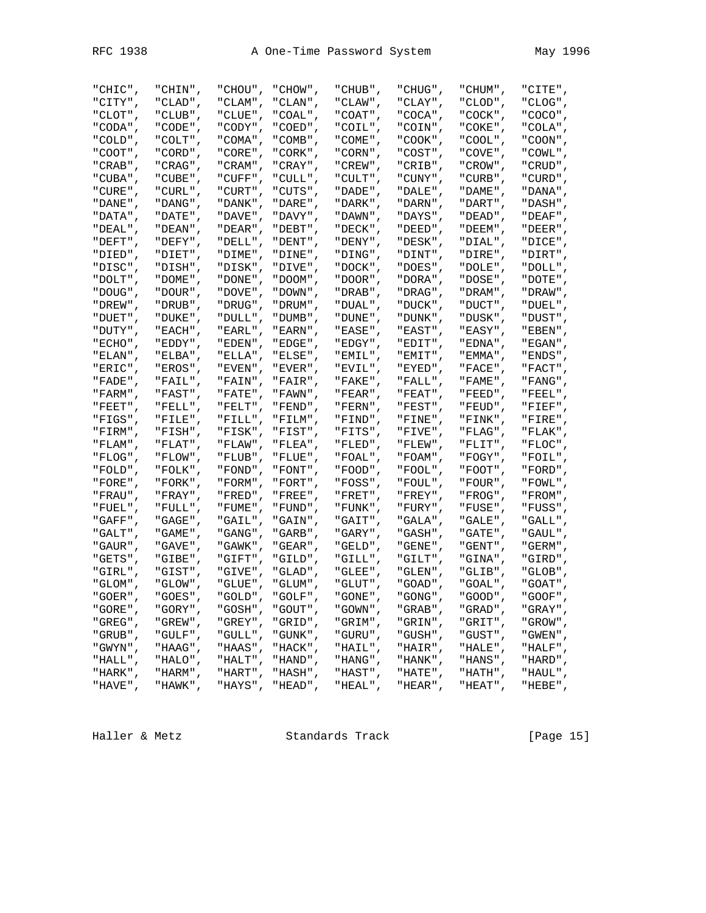Haller & Metz Standards Track [Page 15]

| "CHIC",     | "CHIN",     | "CHOU",  | "CHOW",     | "CHUB",        | "CHUG",        | "CHUM",     | "CITE",    |
|-------------|-------------|----------|-------------|----------------|----------------|-------------|------------|
| "CITY",     | "CLAD",     | "CLAM",  | "CLAN",     | "CLAW",        | "CLAY",        | "CLOD",     | "CLOG",    |
| "CLOT"      | " CLUB " ,  | " CLUE " | " COAL" ,   | " COAT" ,      | " COCA" ,      | " COCK "    | , "COCO" " |
| "CODA",     | "CODE",     | "CODY",  | "COED",     | "COIL",        | "COIN",        | "COKE",     | "COLA",    |
| "COLD",     | "COLT",     | "COMA",  | "COMB",     | "COME",        | "COOK",        | "COOL",     | "COON",    |
| "COOT",     | "CORD",     | "CORE",  | "CORK",     | "CORN",        | "COST",        | "COVE",     | "COWL",    |
| "CRAB",     | "CRAG",     | "CRAM",  | "CRAY",     | $"CREW"$ ,     | "CRIB",        | "CROW",     | " CRUD" ,  |
| "CUBA",     | "CUBE",     | "CUFF",  | "CULL",     | "CULT",        | "CUNY",        | "CURB",     | "CURD",    |
| " CURE " ,  | "CURL",     | "CURT"   | "CUTS",     | " DADE" ,      | "DALE"         | " DAME "    | , "DANA" " |
| "DANE",     | "DANG",     | "DANK",  | "DARE",     | "DARK",        | "DARN",        | " DART "    | " DASH" ,  |
| "DATA",     | "DATE",     | "DAVE",  | "DAVY",     | "DAWN",        | "DAYS",        | "DEAD",     | "DEAF",    |
| "DEAL",     | "DEAN",     | "DEAR",  | "DEBT",     | "DECK",        | "DEED",        | "DEEM",     | "DEER",    |
| $"DEF T"$ , | "DEFY",     | "DELL",  | "DENT",     | "DENY",        | "DESK",        | "DIAL",     | "DICE",    |
| "DIED",     | "DIET",     | "DIME",  | "DINE",     | "DING",        | "DINT",        | "DIRE",     | "DIRT",    |
| "DISC"      | "DISH".     | "DISK"   | "DIVE".     | , "DOCK" "     | "DOES"         | " DOLE "    | , "DOLL" " |
| "DOLT",     | "DOME",     | "DONE",  | "DOOM",     | , "DOOR " "    | "DORA",        | "DOSE",     | "DOTE",    |
| "DOUG",     | "DOUR",     | "DOVE",  | "DOWN",     | "DRAB",        | "DRAG",        | "DRAM",     | "DRAW",    |
| "DREW",     | "DRUB",     | "DRUG",  | "DRUM",     | "DUAL",        | "DUCK",        | "DUCT",     | "DUEL",    |
| "DUET",     | "DUKE",     | "DULL",  | "DUMB",     | "DUNE",        | "DUNK",        | "DUSK",     | "DUST",    |
| "DUTY",     | "EACH",     | "EARL",  | "EARN",     | "EASE",        | "EAST",        | "EASY",     | "EBEN",    |
| " ECHO " .  | "EDDY",     | " EDEN " | " EDGE " ,  | "EDGY",        | "EDIT"         | " EDNA "    | " EGAN " , |
| "ELAN",     | "ELBA",     | "ELLA",  | "ELSE",     | "EMIL",        | "EMIT",        | "EMMA",     | " ENDS " , |
| "ERIC",     | "EROS",     | "EVEN",  | "EVER",     | "EVIL",        | "EYED",        | "FACE",     | "FACT",    |
| "FADE",     | "FAIL",     | "FAIN",  | "FAIR",     | "FAKE",        | "FALL",        | "FAME",     | "FANG",    |
| "FARM",     | "FAST",     | "FATE",  | "FAWN",     | "FEAR",        | "FEAT",        | "FEED",     | "FEEL",    |
| "FEET",     | "FELL",     | "FELT",  | "FEND",     | "FERN",        | "FEST",        | "FEUD",     | " FIEF" ,  |
| "FIGS".     | "FILE",     | "FILL"   | "FILM",     | "FIND",        | "FINE"         | "FINK"      | "FIRE",    |
| "FIRM",     | "FISH",     | "FISK",  | "FIST",     | "FITS",        | "FIVE",        | "FLAG",     | "FLAK",    |
| "FLAM",     | "FLAT",     | "FLAW",  | "FLEA",     | "FLED",        | "FLEW",        | "FLIT",     | "FLOC",    |
| "FLOG",     | "FLOW",     | "FLUB",  | "FLUE",     | "FOAL",        | "FOAM",        | "FOGY",     | "FOIL",    |
| "FOLD",     | "FOLK",     | "FOND",  | "FONT",     | "FOOD",        | "FOOL",        | "FOOT",     | "FORD",    |
| "FORE",     | "FORK",     | "FORM",  | "FORT",     | "FOSS",        | "FOUL",        | "FOUR",     | "FOWL",    |
| " FRAU " .  | " FRAY "    | " FRED " | "FREE",     | "FRET",        | "FREY"         | " FROG "    | " FROM" ,  |
| "FUEL",     | "FULL",     | "FUME",  | "FUND",     | "FUNK",        | "FURY",        | "FUSE",     | "FUSS",    |
| "GAFF",     | "GAGE",     | "GAIL",  | "GAIN",     | "GAIT",        | "GALA",        | "GALE",     | "GALL",    |
| "GALT",     | "GAME",     | "GANG",  | "GARB",     | "GARY",        | "GASH",        | "GATE",     | "GAUL",    |
| "GAUR",     | "GAVE",     | "GAWK",  | "GEAR",     | "GELD",        | "GENE",        | "GENT",     | "GERM",    |
| "GETS",     | "GIBE",     | "GIFT",  | "GILD",     | "GILL",        | "GILT",        | "GINA",     | "GIRD",    |
| "GIRL".     | "GIST"      | "GIVE".  | , "GLAD" "  | "GLEE",        | "GLEN"         | "GLIB"      | "GLOB",    |
| "GLOM",     | "GLOW",     | "GLUE",  | "GLUM",     | "GLUT",        | "GOAD",        | "GOAL",     | "GOAT",    |
| $"G0ER"$ ,  | " $GOES"$ , | "GOLD",  | " $GOLF$ ", | $"$ GONE $"$ , | $"$ GONG $"$ , | " $GOOD"$ , | "GOOF",    |
| "GORE",     | "GORY",     | "GOSH",  | "GOUT",     | "GOWN",        | "GRAB",        | "GRAD",     | "GRAY",    |
| "GREG",     | "GREW",     | "GREY",  | "GRID",     | "GRIM",        | "GRIN",        | "GRIT",     | "GROW",    |
| "GRUB",     | "GULF",     | "GULL",  | "GUNK",     | "GURU",        | "GUSH",        | "GUST",     | "GWEN",    |
| "GWYN"      | " HAAG " 」  | " HAAS " | "HACK"      | , "HAIL" "     | "HAIR"         | " HALE "    | "HALF",    |
| "HALL",     | "HALO",     | "HALT",  | "HAND",     | "HANG",        | "HANK",        | "HANS",     | , "HARD" " |
| "HARK",     | "HARM",     | "HART",  | "HASH",     | "HAST",        | "HATE",        | "HATH",     | "HAUL",    |
| "HAVE",     | "HAWK",     | "HAYS",  | "HEAD",     | "HEAL",        | "HEAR",        | "HEAT",     | "HEBE",    |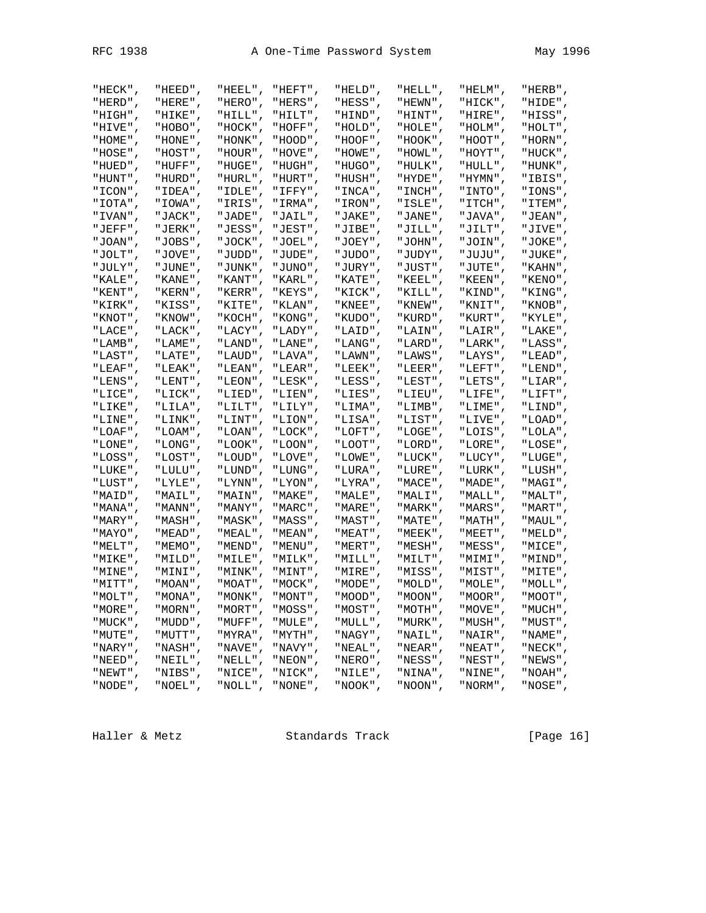| "HIGH",     | "HIKE",    | , "HILL" "  | "HILT",   | , "HIND" " | "HINT",    | "HIRE",     | "HISS",     |
|-------------|------------|-------------|-----------|------------|------------|-------------|-------------|
| "HIVE",     | "HOBO",    | "HOCK",     | "HOFF",   | "HOLD",    | "HOLE",    | "HOLM",     | "HOLT",     |
| "HOME",     | "HONE",    | , "HONK " " | , "HOOD", | "HOOF",    | " HOOK " , | "HOOT",     | "HORN",     |
| "HOSE",     | "HOST",    | "HOUR",     | "HOVE",   | "HOWE",    | "HOWL",    | "HOYT",     | "HUCK",     |
| "HUED",     | "HUFF",    | "HUGE",     | "HUGH",   | " HUGO " , | "HULK",    | , "HULL" "  | "HUNK",     |
| "HUNT",     | "HURD",    | "HURL",     | "HURT",   | "HUSH",    | "HYDE",    | "HYMN",     | "IBIS"      |
| "ICON",     | "IDEA",    | "IDLE",     | "IFFY",   | "INCA",    | "INCH",    | "INTO",     | "IONS",     |
| , "IOTA" "  | "IOWA",    | "IRIS"      | "IRMA",   | " IRON" ,  | "ISLE"     | " ITCH" ,   | "ITEM",     |
| "IVAN",     | "JACK",    | "JADE",     | "JAIL",   | "JAKE",    | "JANE",    | "JAVA",     | "JEAN",     |
| "JEFF",     | "JERK",    | "JESS",     | "JEST",   | "JIBE",    | "JILL",    | "JILT",     | "JIVE",     |
| "JOAN",     | "JOBS"     | "JOCK",     | "JOEL",   | "JOEY"     | "JOHN",    | "JOIN",     | "JOKE"      |
| "JOLT",     | "JOVE",    | "JUDD",     | "JUDE",   | "JUDO",    | "JUDY",    | "JUJU",     | "JUKE",     |
| "JULY",     | "JUNE",    | "JUNK",     | "JUNO",   | "JURY",    | "JUST",    | "JUTE",     | "KAHN",     |
| "KALE",     | " KANE" ,  | "KANT",     | "KARL",   | "KATE",    | "KEEL",    | "KEEN",     | "KENO",     |
| "KENT",     | "KERN",    | "KERR",     | "KEYS",   | "KICK",    | "KILL",    | "KIND",     | "KING",     |
| "KIRK",     | "KISS",    | "KITE",     | "KLAN",   | "KNEE",    | "KNEW",    | "KNIT",     | "KNOB"      |
| "KNOT",     | " KNOW" ,  | "KOCH",     | "KONG",   | "KUDO",    | "KURD",    | "KURT",     | "KYLE",     |
| "LACE",     | "LACK",    | "LACY",     | "LADY",   | "LAID",    | "LAIN",    | "LAIR",     | "LAKE",     |
| "LAMB",     | "LAME",    | , "LAND" "  | "LANE",   | "LANG",    | "LARD",    | "LARK",     | "LASS",     |
| "LAST",     | "LATE",    | "LAUD",     | "LAVA",   | "LAWN",    | "LAWS",    | "LAYS",     | "LEAD",     |
| "LEAF",     | "LEAK",    | "LEAN",     | "LEAR",   | "LEEK",    | "LEER",    | "LEFT",     | "LEND",     |
| "LENS",     | "LENT",    | "LEON",     | "LESK",   | "LESS",    | "LEST",    | "LETS",     | " $LIAR"$ , |
| "LICE",     | "LICK",    | "LIED",     | "LIEN",   | "LIES",    | "LIEU",    | "LIFE",     | "LIFT",     |
| "LIKE",     | "LILA",    | "LILT",     | "LILY",   | "LIMA",    | "LIMB",    | "LIME",     | "LIND",     |
| "LINE",     | "LINK",    | "LINT",     | "LION",   | "LISA",    | "LIST",    | "LIVE",     | "LOAD",     |
| "LOAF",     | , "LOAM" " | "LOAN",     | "LOCK",   | "LOFT",    | "LOGE",    | "LOIS",     | "LOLA",     |
| "LONE",     | "LONG",    | "LOOK",     | "LOON",   | "LOOT",    | "LORD",    | "LORE",     | "LOSE",     |
| "LOSS",     | "LOST",    | "LOUD",     | "LOVE",   | "LOWE",    | "LUCK",    | "LUCY",     | "LUGE",     |
| "LUKE",     | "LULU",    | "LUND"      | "LUNG",   | "LURA",    | " LURE "   | " LURK "    | "LUSH"      |
| "LUST",     | "LYLE",    | "LYNN",     | "LYON",   | "LYRA",    | "MACE",    | "MADE",     | "MAGI",     |
| "MAID",     | "MAIL",    | "MAIN",     | "MAKE",   | "MALE",    | , "MALI",  | , "MALL" "  | "MALT",     |
| "MANA",     | " MANN " , | "MANY",     | "MARC",   | "MARE",    | "MARK",    | "MARS",     | "MART"      |
| "MARY",     | "MASH",    | "MASK",     | "MASS",   | "MAST",    | "MATE",    | "MATH",     | "MAUL",     |
| "MAYO",     | "MEAD",    | " MEAL "    | "MEAN",   | "MEAT"     | " MEEK "   | "MEET",     | "MELD",     |
| "MELT",     | "MEMO",    | "MEND",     | "MENU",   | "MERT",    | "MESH",    | "MESS",     | "MICE",     |
| "MIKE",     | "MILD",    | "MILE",     | "MILK",   | "MILL",    | "MILT",    | "MIMI",     | "MIND",     |
| "MINE",     | "MINI",    | "MINK",     | "MINT",   | "MIRE",    | "MISS",    | "MIST",     | "MITE"      |
| "MITT",     | , "MOAN" " | "MOAT",     | "MOCK",   | "MODE",    | "MOLD",    | "MOLE",     | "MOLL",     |
| "MOLT" ,    | , "MONA" " | " MONK "    | "MONT",   | , "MOOD" " | " MOON " . | , "MOOR" "  | "MOOT",     |
| $"MORE"$ ,  | "MORN",    | "MORT",     | "MOSS",   | "MOST",    | "MOTH",    | "MOVE",     | "MUCH",     |
| "MUCK",     | , "NUDD" " | "MUFF",     | "MULE",   | "MULL",    | "MURK",    | "MUSH",     | "MUST",     |
| "MUTE",     | "MUTT",    | "MYRA",     | "MYTH",   | "NAGY",    | "NAIL",    | "NAIR",     | " NAME "    |
| " $NARY"$ , | "NASH",    | "NAVE",     | "NAVY",   | "NEAL",    | "NEAR",    | " $NEAT"$ , | "NECK",     |
| "NEED",     | "NEIL",    | "NELL",     | "NEON",   | "NERO",    | "NESS",    | "NEST",     | "NEWS",     |
| "NEWT",     | "NIBS",    | "NICE",     | "NICK",   | "NILE",    | "NINA",    | "NINE",     | "NOAH",     |
| "NODE",     | "NOEL",    | "NOLL",     | "NONE",   | "NOOK",    | "NOON",    | "NORM",     | "NOSE",     |
|             |            |             |           |            |            |             |             |

"HECK", "HEED", "HEEL", "HEFT", "HELD", "HELL", "HELM", "HERB", "HERD", "HERE", "HERO", "HERS", "HESS", "HEWN", "HICK", "HIDE",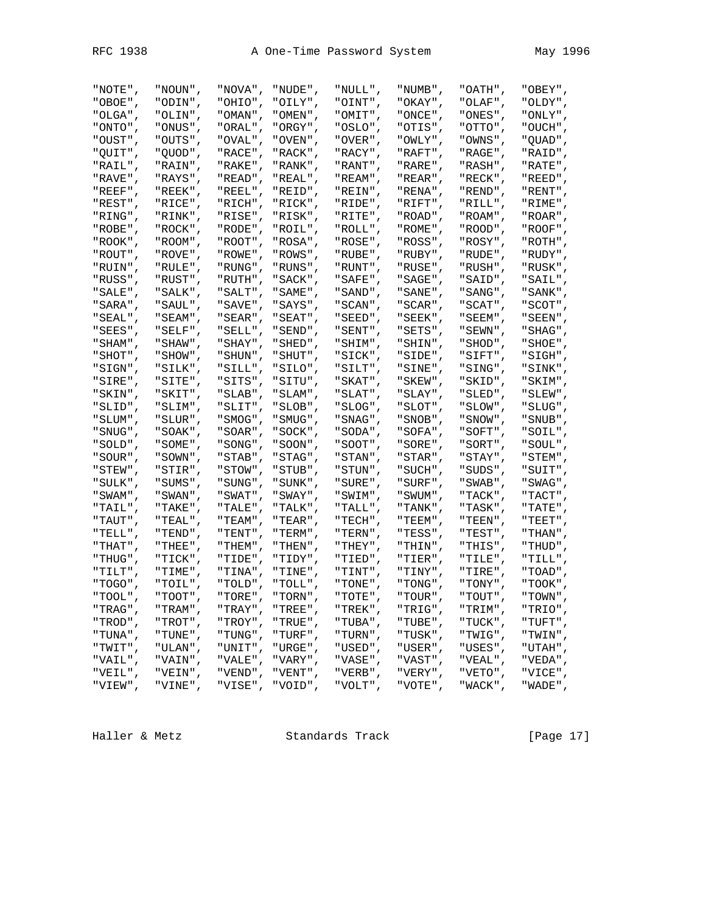| "NOTE",   | "NOUN",    | "NOVA",    | "NUDE",    | "NULL",    | "NUMB",    | "OATH",    | "OBEY",    |
|-----------|------------|------------|------------|------------|------------|------------|------------|
| "OBOE",   | "ODIN",    | "OHIO",    | "OILY",    | "OINT",    | "OKAY",    | "OLAF",    | "OLDY",    |
| "OLGA",   | , "OLIN"   | , "OMAN" " | "OMEN",    | "OMIT",    | " ONCE " , | "ONES",    | "ONLY",    |
| "ONTO",   | "ONUS",    | "ORAL",    | "ORGY",    | "OSLO",    | "OTIS",    | "OTTO",    | "OUCH",    |
| "OUST",   | "OUTS",    | "OVAL",    | "OVEN",    | "OVER",    | "OWLY",    | "OWNS",    | "QUAD",    |
| "QUIT",   | " QUOD" ,  | "RACE",    | "RACK",    | "RACY",    | "RAFT",    | "RAGE",    | "RAID",    |
| "RAIL",   | "RAIN",    | "RAKE",    | "RANK",    | "RANT",    | "RARE",    | "RASH",    | "RATE",    |
| "RAVE",   | "RAYS",    | "READ",    | "REAL",    | "REAM",    | "REAR",    | "RECK",    | "REED",    |
| "REEF",   | "REEK",    | "REEL",    | "REID",    | , "REIN" " | " RENA" ,  | , "REND" " | "RENT",    |
| "REST",   | "RICE",    | "RICH",    | "RICK",    | "RIDE",    | "RIFT",    | "RILL",    | "RIME",    |
| "RING",   | "RINK",    | "RISE",    | "RISK",    | "RITE",    | "ROAD",    | "ROAM",    | "ROAR",    |
| "ROBE",   | "ROCK",    | "RODE",    | "ROIL",    | "ROLL",    | "ROME",    | "ROOD",    | "ROOF",    |
| "ROOK",   | "ROOM",    | "ROOT",    | "ROSA",    | "ROSE",    | "ROSS",    | "ROSY",    | "ROTH",    |
| "ROUT",   | "ROVE",    | "ROWE",    | "ROWS",    | "RUBE",    | "RUBY",    | "RUDE",    |            |
| "RUIN",   |            |            |            |            |            |            | "RUDY",    |
|           | "RULE",    | "RUNG",    | "RUNS",    | " RUNT "   | "RUSE".    | "RUSH",    | "RUSK",    |
| "RUSS",   | "RUST".    | "RUTH",    | " SACK " , | "SAFE",    | " SAGE " , | "SAID",    | "SAIL",    |
| "SALE",   | "SALK",    | "SALT",    | "SAME",    | " SAND" ,  | " SANE " , | "SANG",    | " SANK " , |
| "SARA",   | " SAUL" ,  | "SAVE",    | "SAYS",    | "SCAN",    | "SCAR",    | "SCAT",    | "SCOT",    |
| "SEAL",   | "SEAM",    | "SEAR",    | "SEAT",    | "SEED",    | "SEEK",    | "SEEM",    | "SEEN",    |
| "SEES",   | "SELF",    | "SELL",    | "SEND",    | "SENT",    | "SETS",    | "SEWN",    | "SHAG",    |
| " SHAM" . | "SHAW",    | "SHAY",    | "SHED",    | "SHIM",    | "SHIN",    | " SHOD" ,  | "SHOE",    |
| " SHOT" , | "SHOW",    | " SHUN" ,  | "SHUT",    | "SICK",    | "SIDE",    | "SIFT",    | "SIGH",    |
| "SIGN",   | "SILK",    | "SILL",    | "SILO",    | "SILT",    | "SINE",    | "SING",    | "SINK",    |
| "SIRE",   | "SITE",    | "SITS",    | "SITU",    | "SKAT",    | "SKEW",    | "SKID",    | "SKIM",    |
| "SKIN",   | "SKIT",    | "SLAB",    | "SLAM",    | "SLAT",    | "SLAY",    | "SLED",    | "SLEW",    |
| "SLID",   | "SLIM",    | "SLIT",    | "SLOB",    | "SLOG",    | "SLOT",    | "SLOW",    | "SLUG",    |
| "SLUM",   | " SLUR " , | " SMOG" ,  | " SMUG" ,  | "SNAG",    | , "SNOB" " | " SNOW" ,  | "SNUB",    |
| " SNUG" , | "SOAK",    | "SOAR",    | " SOCK " , | "SODA",    | "SOFA",    | "SOFT",    | "SOIL",    |
| "SOLD",   | "SOME",    | "SONG",    | " SOON " , | "SOOT",    | "SORE",    | "SORT",    | "SOUL",    |
| "SOUR",   | "SOWN",    | "STAB",    | "STAG",    | "STAN",    | "STAR",    | "STAY",    | "STEM",    |
| "STEW",   | "STIR",    | "STOW",    | "STUB",    | "STUN",    | "SUCH",    | "SUDS",    | "SUIT",    |
| "SULK",   | "SUMS",    | "SUNG",    | "SUNK",    | "SURE",    | "SURF",    | "SWAB",    | "SWAG",    |
| " SWAM" , | "SWAN",    | "SWAT",    | "SWAY",    | "SWIM",    | " SWUM" ,  | " TACK " , | "TACT",    |
| "TAIL",   | "TAKE",    | "TALE",    | "TALK",    | "TALL",    | " TANK " , | "TASK",    | "TATE",    |
| "TAUT",   | "TEAL",    | "TEAM",    | "TEAR",    | "TECH",    | " TEEM" ,  | "TEEN",    | "TEET",    |
| "TELL",   | "TEND",    | "TENT",    | "TERM",    | "TERN",    | "TESS",    | "TEST",    | "THAN",    |
| "THAT",   | "THEE",    | "THEM",    | "THEN",    | "THEY",    | "THIN",    | "THIS",    | "THUD",    |
| "THUG",   | "TICK",    | "TIDE",    | "TIDY",    | "TIED",    | "TIER",    | "TILE",    | "TILL",    |
| "TILT",   | "TIME".    | "TINA",    | "TINE",    | "TINT",    | " TINY "   | "TIRE",    | "TOAD",    |
| " TOGO" , | "TOIL",    | "TOLD",    | "TOLL",    | " TONE " , | "TONG",    | "TONY",    | "TOOK",    |
| " TOOL "  | " TOOT "   | "TORE",    | " TORN "   | " TOTE "   | " TOUR "   | " TOUT "   | " TOWN "   |
| "TRAG",   | "TRAM",    | "TRAY",    | "TREE",    | "TREK",    | "TRIG",    | "TRIM",    | "TRIO",    |
| "TROD",   | "TROT",    | "TROY",    | "TRUE",    | "TUBA",    | "TUBE",    | "TUCK",    | "TUFT",    |
| "TUNA",   | "TUNE",    | "TUNG",    | "TURF",    | "TURN",    | "TUSK",    | "TWIG",    | "TWIN",    |
| "TWIT"    | "ULAN",    | "UNIT",    | "URGE",    | "USED",    | "USER",    | "USES",    | "UTAH",    |
| "VAIL",   | "VAIN",    | "VALE",    | "VARY",    | "VASE",    | "VAST",    | "VEAL",    | "VEDA",    |
| "VEIL",   | "VEIN",    | "VEND",    | "VENT",    | "VERB",    | "VERY",    | "VETO",    | "VICE",    |
| "VIEW",   | "VINE",    | "VISE",    | "VOID",    | "VOLT",    | "VOTE",    | "WACK",    | "WADE",    |